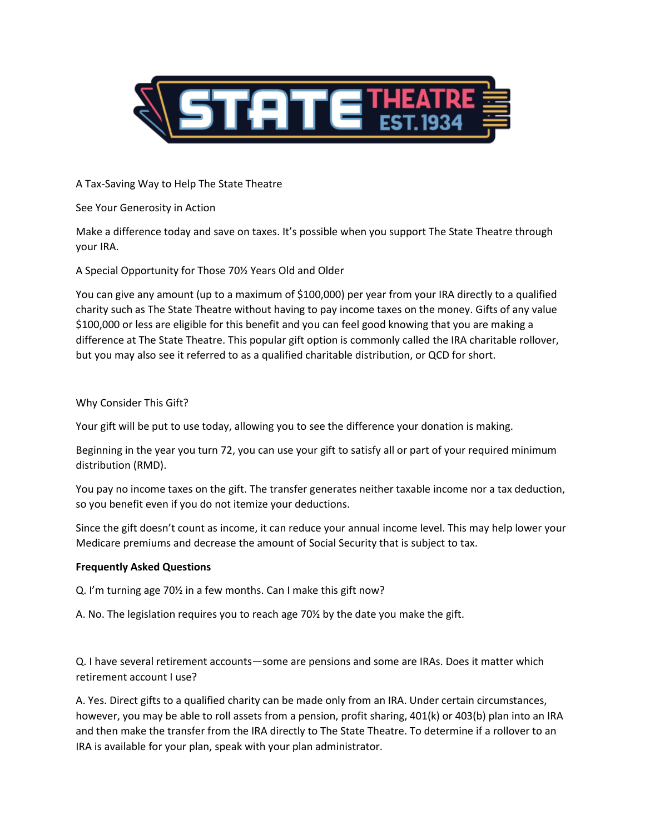

A Tax-Saving Way to Help The State Theatre

See Your Generosity in Action

Make a difference today and save on taxes. It's possible when you support The State Theatre through your IRA.

A Special Opportunity for Those 70½ Years Old and Older

You can give any amount (up to a maximum of \$100,000) per year from your IRA directly to a qualified charity such as The State Theatre without having to pay income taxes on the money. Gifts of any value \$100,000 or less are eligible for this benefit and you can feel good knowing that you are making a difference at The State Theatre. This popular gift option is commonly called the IRA charitable rollover, but you may also see it referred to as a qualified charitable distribution, or QCD for short.

# Why Consider This Gift?

Your gift will be put to use today, allowing you to see the difference your donation is making.

Beginning in the year you turn 72, you can use your gift to satisfy all or part of your required minimum distribution (RMD).

You pay no income taxes on the gift. The transfer generates neither taxable income nor a tax deduction, so you benefit even if you do not itemize your deductions.

Since the gift doesn't count as income, it can reduce your annual income level. This may help lower your Medicare premiums and decrease the amount of Social Security that is subject to tax.

## **Frequently Asked Questions**

Q. I'm turning age 70½ in a few months. Can I make this gift now?

A. No. The legislation requires you to reach age 70½ by the date you make the gift.

Q. I have several retirement accounts—some are pensions and some are IRAs. Does it matter which retirement account I use?

A. Yes. Direct gifts to a qualified charity can be made only from an IRA. Under certain circumstances, however, you may be able to roll assets from a pension, profit sharing, 401(k) or 403(b) plan into an IRA and then make the transfer from the IRA directly to The State Theatre. To determine if a rollover to an IRA is available for your plan, speak with your plan administrator.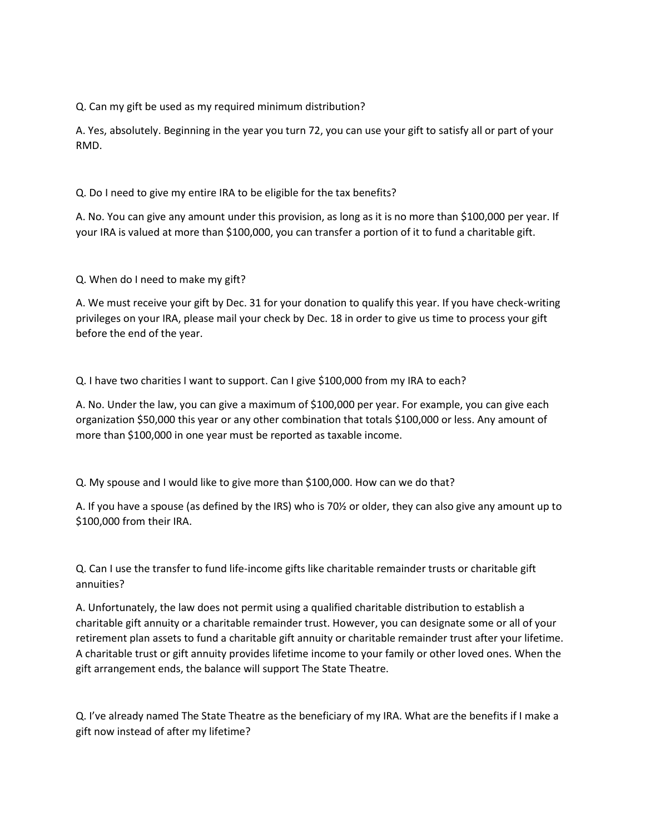Q. Can my gift be used as my required minimum distribution?

A. Yes, absolutely. Beginning in the year you turn 72, you can use your gift to satisfy all or part of your RMD.

Q. Do I need to give my entire IRA to be eligible for the tax benefits?

A. No. You can give any amount under this provision, as long as it is no more than \$100,000 per year. If your IRA is valued at more than \$100,000, you can transfer a portion of it to fund a charitable gift.

Q. When do I need to make my gift?

A. We must receive your gift by Dec. 31 for your donation to qualify this year. If you have check-writing privileges on your IRA, please mail your check by Dec. 18 in order to give us time to process your gift before the end of the year.

Q. I have two charities I want to support. Can I give \$100,000 from my IRA to each?

A. No. Under the law, you can give a maximum of \$100,000 per year. For example, you can give each organization \$50,000 this year or any other combination that totals \$100,000 or less. Any amount of more than \$100,000 in one year must be reported as taxable income.

Q. My spouse and I would like to give more than \$100,000. How can we do that?

A. If you have a spouse (as defined by the IRS) who is 70½ or older, they can also give any amount up to \$100,000 from their IRA.

Q. Can I use the transfer to fund life-income gifts like charitable remainder trusts or charitable gift annuities?

A. Unfortunately, the law does not permit using a qualified charitable distribution to establish a charitable gift annuity or a charitable remainder trust. However, you can designate some or all of your retirement plan assets to fund a charitable gift annuity or charitable remainder trust after your lifetime. A charitable trust or gift annuity provides lifetime income to your family or other loved ones. When the gift arrangement ends, the balance will support The State Theatre.

Q. I've already named The State Theatre as the beneficiary of my IRA. What are the benefits if I make a gift now instead of after my lifetime?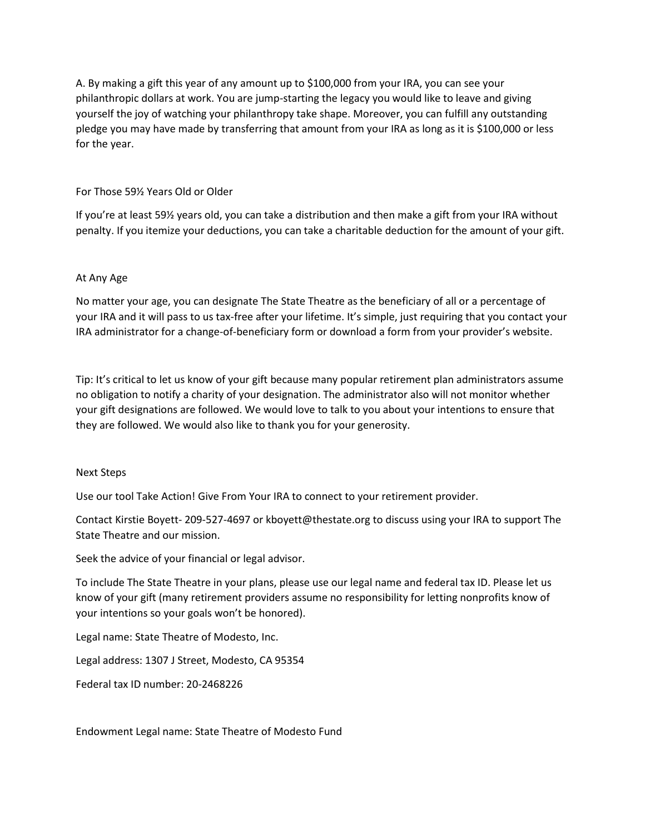A. By making a gift this year of any amount up to \$100,000 from your IRA, you can see your philanthropic dollars at work. You are jump-starting the legacy you would like to leave and giving yourself the joy of watching your philanthropy take shape. Moreover, you can fulfill any outstanding pledge you may have made by transferring that amount from your IRA as long as it is \$100,000 or less for the year.

## For Those 59½ Years Old or Older

If you're at least 59½ years old, you can take a distribution and then make a gift from your IRA without penalty. If you itemize your deductions, you can take a charitable deduction for the amount of your gift.

## At Any Age

No matter your age, you can designate The State Theatre as the beneficiary of all or a percentage of your IRA and it will pass to us tax-free after your lifetime. It's simple, just requiring that you contact your IRA administrator for a change-of-beneficiary form or download a form from your provider's website.

Tip: It's critical to let us know of your gift because many popular retirement plan administrators assume no obligation to notify a charity of your designation. The administrator also will not monitor whether your gift designations are followed. We would love to talk to you about your intentions to ensure that they are followed. We would also like to thank you for your generosity.

## Next Steps

Use our tool Take Action! Give From Your IRA to connect to your retirement provider.

Contact Kirstie Boyett- 209-527-4697 or kboyett@thestate.org to discuss using your IRA to support The State Theatre and our mission.

Seek the advice of your financial or legal advisor.

To include The State Theatre in your plans, please use our legal name and federal tax ID. Please let us know of your gift (many retirement providers assume no responsibility for letting nonprofits know of your intentions so your goals won't be honored).

Legal name: State Theatre of Modesto, Inc.

Legal address: 1307 J Street, Modesto, CA 95354

Federal tax ID number: 20-2468226

Endowment Legal name: State Theatre of Modesto Fund